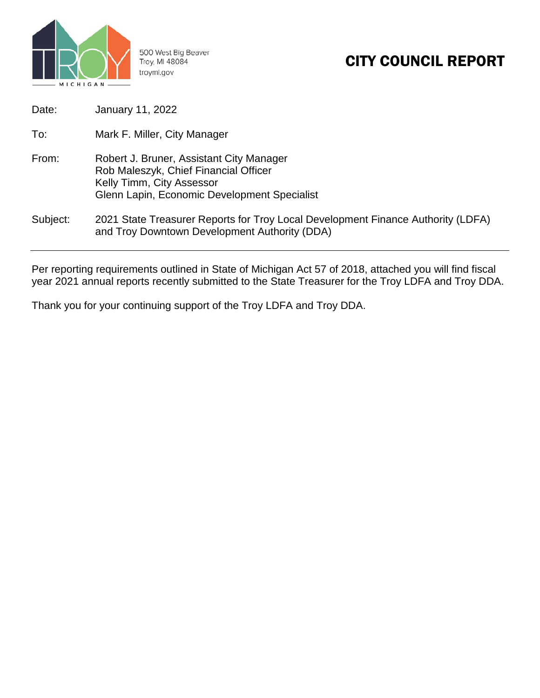

500 West Big Beaver Troy, MI 48084 troymi.gov

# CITY COUNCIL REPORT

| Date:    | January 11, 2022                                                                                                                                               |
|----------|----------------------------------------------------------------------------------------------------------------------------------------------------------------|
| To:      | Mark F. Miller, City Manager                                                                                                                                   |
| From:    | Robert J. Bruner, Assistant City Manager<br>Rob Maleszyk, Chief Financial Officer<br>Kelly Timm, City Assessor<br>Glenn Lapin, Economic Development Specialist |
| Subject: | 2021 State Treasurer Reports for Troy Local Development Finance Authority (LDFA)<br>and Troy Downtown Development Authority (DDA)                              |

Per reporting requirements outlined in State of Michigan Act 57 of 2018, attached you will find fiscal year 2021 annual reports recently submitted to the State Treasurer for the Troy LDFA and Troy DDA.

Thank you for your continuing support of the Troy LDFA and Troy DDA.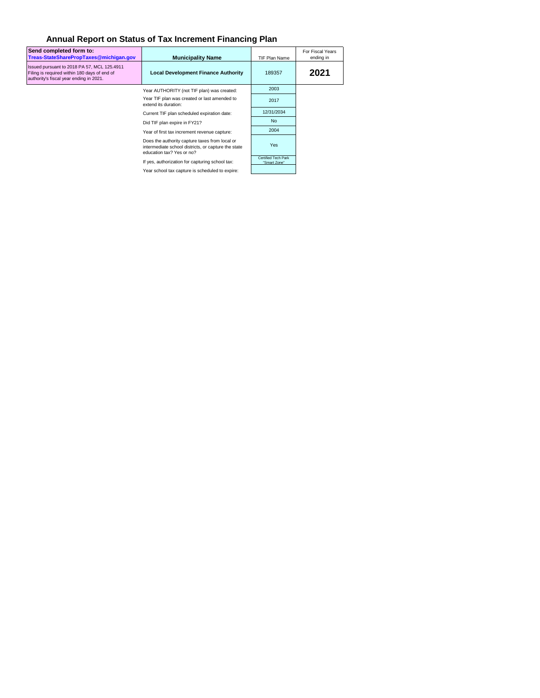## **Annual Report on Status of Tax Increment Financing Plan**

| Send completed form to:<br>Treas-StateSharePropTaxes@michigan.gov                                                                      | <b>Municipality Name</b>                                                                                                           | <b>TIF Plan Name</b>                | For Fiscal Years<br>ending in |
|----------------------------------------------------------------------------------------------------------------------------------------|------------------------------------------------------------------------------------------------------------------------------------|-------------------------------------|-------------------------------|
| Issued pursuant to 2018 PA 57, MCL 125.4911<br>Filing is required within 180 days of end of<br>authority's fiscal year ending in 2021. | <b>Local Development Finance Authority</b>                                                                                         | 189357                              | 2021                          |
|                                                                                                                                        | Year AUTHORITY (not TIF plan) was created:                                                                                         | 2003                                |                               |
|                                                                                                                                        | Year TIF plan was created or last amended to<br>extend its duration:                                                               | 2017                                |                               |
|                                                                                                                                        | Current TIF plan scheduled expiration date:                                                                                        | 12/31/2034                          |                               |
|                                                                                                                                        | Did TIF plan expire in FY21?                                                                                                       | <b>No</b>                           |                               |
|                                                                                                                                        | Year of first tax increment revenue capture:                                                                                       | 2004                                |                               |
|                                                                                                                                        | Does the authority capture taxes from local or<br>intermediate school districts, or capture the state<br>education tax? Yes or no? | <b>Yes</b>                          |                               |
|                                                                                                                                        | If yes, authorization for capturing school tax:                                                                                    | Certified Tech Park<br>"Smart Zone" |                               |
|                                                                                                                                        | Year school tax capture is scheduled to expire:                                                                                    |                                     |                               |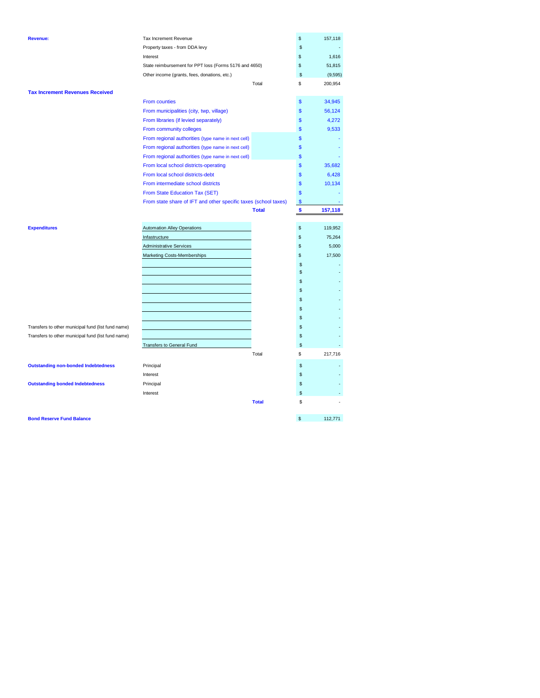| <b>Revenue:</b>                                    | Tax Increment Revenue                                           |              | \$                      | 157,118  |
|----------------------------------------------------|-----------------------------------------------------------------|--------------|-------------------------|----------|
|                                                    | Property taxes - from DDA levy                                  |              | \$                      |          |
|                                                    | Interest                                                        |              | \$                      | 1.616    |
|                                                    | State reimbursement for PPT loss (Forms 5176 and 4650)          |              | \$                      | 51,815   |
|                                                    | Other income (grants, fees, donations, etc.)                    |              | \$                      | (9, 595) |
|                                                    |                                                                 | Total        | \$                      | 200,954  |
| <b>Tax Increment Revenues Received</b>             |                                                                 |              |                         |          |
|                                                    | <b>From counties</b>                                            |              | \$                      | 34,945   |
|                                                    | From municipalities (city, twp, village)                        |              | \$                      | 56,124   |
|                                                    | From libraries (if levied separately)                           |              | \$                      | 4,272    |
|                                                    | From community colleges                                         |              | $\mathbf{s}$            | 9,533    |
|                                                    | From regional authorities (type name in next cell)              |              | \$                      |          |
|                                                    | From regional authorities (type name in next cell)              |              | \$                      |          |
|                                                    | From regional authorities (type name in next cell)              |              | \$                      |          |
|                                                    | From local school districts-operating                           |              | \$                      | 35,682   |
|                                                    | From local school districts-debt                                |              | \$                      | 6,428    |
|                                                    | From intermediate school districts                              |              | \$                      | 10,134   |
|                                                    | From State Education Tax (SET)                                  |              | \$                      |          |
|                                                    | From state share of IFT and other specific taxes (school taxes) |              | $\mathbf{\$}$           |          |
|                                                    |                                                                 | <b>Total</b> | $\overline{\mathbf{3}}$ | 157,118  |
|                                                    |                                                                 |              |                         |          |
| <b>Expenditures</b>                                | <b>Automation Alley Operations</b>                              |              | \$                      | 119,952  |
|                                                    | Infastructure                                                   |              | \$                      | 75,264   |
|                                                    | <b>Administrative Services</b>                                  |              | \$                      | 5,000    |
|                                                    | Marketing Costs-Memberships                                     |              | \$                      | 17,500   |
|                                                    |                                                                 |              | \$                      |          |
|                                                    |                                                                 |              | \$                      |          |
|                                                    |                                                                 |              | \$                      |          |
|                                                    |                                                                 |              | \$                      |          |
|                                                    |                                                                 |              | \$                      |          |
|                                                    |                                                                 |              | \$                      |          |
|                                                    |                                                                 |              | \$                      |          |
| Transfers to other municipal fund (list fund name) |                                                                 |              | \$                      |          |
| Transfers to other municipal fund (list fund name) |                                                                 |              | \$                      |          |
|                                                    | Transfers to General Fund                                       |              | \$                      |          |
|                                                    |                                                                 | Total        | \$                      | 217,716  |
| <b>Outstanding non-bonded Indebtedness</b>         | Principal                                                       |              | \$                      |          |
|                                                    | Interest                                                        |              | \$                      |          |
| <b>Outstanding bonded Indebtedness</b>             | Principal                                                       |              | \$                      |          |
|                                                    | Interest                                                        |              | \$                      |          |
|                                                    |                                                                 | <b>Total</b> | S                       |          |
|                                                    |                                                                 |              |                         |          |
|                                                    |                                                                 |              |                         |          |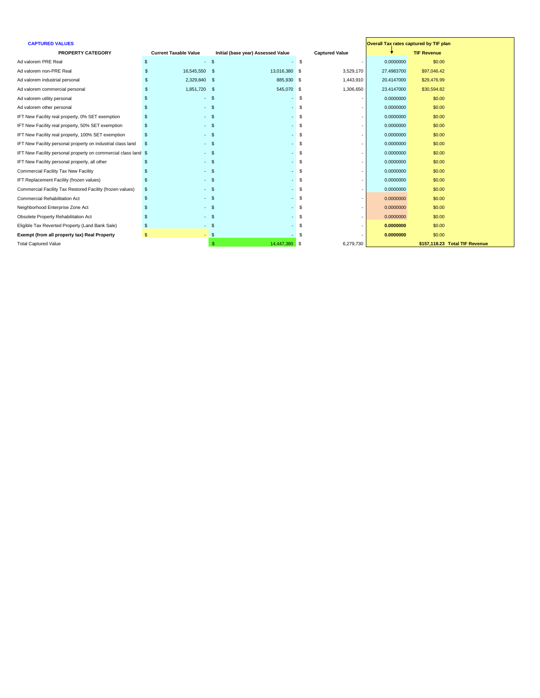| <b>TIF Revenue</b><br><b>PROPERTY CATEGORY</b><br><b>Current Taxable Value</b><br>Initial (base year) Assessed Value<br><b>Captured Value</b><br>Ad valorem PRE Real<br>-\$<br>$-$ \$<br>0.0000000<br>\$0.00<br>$\sim$<br>Ad valorem non-PRE Real<br>16,545,550 \$<br>13,016,380 \$<br>3,529,170<br>\$97,046.42<br>27.4983700<br>Ad valorem industrial personal<br>2,329,840 \$<br>885,930 \$<br>20.4147000<br>1,443,910<br>\$29,476.99<br>1,851,720 \$<br>545,070 \$<br>1,306,650<br>\$30,594.82<br>Ad valorem commercial personal<br>23.4147000<br>Ad valorem utility personal<br>\$0.00<br>$-$ \$<br>0.0000000<br>- \$<br>Ad valorem other personal<br>$-5$<br>0.0000000<br>\$0.00<br>\$0.00<br>$-5$<br>IFT New Facility real property, 0% SET exemption<br>$-$ \$<br>0.0000000<br>\$0.00<br>0.0000000<br>IFT New Facility real property, 50% SET exemption<br>$-$ \$<br>\$0.00<br>IFT New Facility real property, 100% SET exemption<br>$-$ \$<br>0.0000000<br>- \$<br>\$0.00<br>IFT New Facility personal property on industrial class land<br>$-5$<br>- \$<br>0.0000000<br>-\$<br>\$0.00<br>IFT New Facility personal property on commercial class land \$<br>$-$ \$<br>0.0000000<br>- \$<br>\$0.00<br>IFT New Facility personal property, all other<br>$-$ \$<br>0.0000000<br>- \$<br>Commercial Facility Tax New Facility<br>\$0.00<br>$-$ \$<br>- \$<br>0.0000000<br>\$0.00<br>IFT Replacement Facility (frozen values)<br>$-$ \$<br>0.0000000<br>- \$<br>Commercial Facility Tax Restored Facility (frozen values)<br>0.0000000<br>\$0.00<br>$-$ \$<br><b>Commercial Rehabilitation Act</b><br>\$0.00<br>$-$ \$<br>0.0000000<br>- \$<br>\$0.00<br>Neighborhood Enterprise Zone Act<br>0.0000000<br>$-$ \$<br>Obsolete Property Rehabilitation Act<br>\$0.00<br>$-$ \$<br>0.0000000<br>Eligible Tax Reverted Property (Land Bank Sale)<br>$-$ \$<br>\$0.00<br>0.0000000<br>Exempt (from all property tax) Real Property<br>\$0.00<br>$-$ \$<br>0.0000000<br>\$157,118.23 Total TIF Revenue<br><b>Total Captured Value</b><br>14,447,380 \$<br>6,279,730 | <b>CAPTURED VALUES</b> |  |  | <b>Overall Tax rates captured by TIF plan</b> |
|------------------------------------------------------------------------------------------------------------------------------------------------------------------------------------------------------------------------------------------------------------------------------------------------------------------------------------------------------------------------------------------------------------------------------------------------------------------------------------------------------------------------------------------------------------------------------------------------------------------------------------------------------------------------------------------------------------------------------------------------------------------------------------------------------------------------------------------------------------------------------------------------------------------------------------------------------------------------------------------------------------------------------------------------------------------------------------------------------------------------------------------------------------------------------------------------------------------------------------------------------------------------------------------------------------------------------------------------------------------------------------------------------------------------------------------------------------------------------------------------------------------------------------------------------------------------------------------------------------------------------------------------------------------------------------------------------------------------------------------------------------------------------------------------------------------------------------------------------------------------------------------------------------------------------------------------------------------------------------------------------------------------------------------------------------------|------------------------|--|--|-----------------------------------------------|
|                                                                                                                                                                                                                                                                                                                                                                                                                                                                                                                                                                                                                                                                                                                                                                                                                                                                                                                                                                                                                                                                                                                                                                                                                                                                                                                                                                                                                                                                                                                                                                                                                                                                                                                                                                                                                                                                                                                                                                                                                                                                  |                        |  |  |                                               |
|                                                                                                                                                                                                                                                                                                                                                                                                                                                                                                                                                                                                                                                                                                                                                                                                                                                                                                                                                                                                                                                                                                                                                                                                                                                                                                                                                                                                                                                                                                                                                                                                                                                                                                                                                                                                                                                                                                                                                                                                                                                                  |                        |  |  |                                               |
|                                                                                                                                                                                                                                                                                                                                                                                                                                                                                                                                                                                                                                                                                                                                                                                                                                                                                                                                                                                                                                                                                                                                                                                                                                                                                                                                                                                                                                                                                                                                                                                                                                                                                                                                                                                                                                                                                                                                                                                                                                                                  |                        |  |  |                                               |
|                                                                                                                                                                                                                                                                                                                                                                                                                                                                                                                                                                                                                                                                                                                                                                                                                                                                                                                                                                                                                                                                                                                                                                                                                                                                                                                                                                                                                                                                                                                                                                                                                                                                                                                                                                                                                                                                                                                                                                                                                                                                  |                        |  |  |                                               |
|                                                                                                                                                                                                                                                                                                                                                                                                                                                                                                                                                                                                                                                                                                                                                                                                                                                                                                                                                                                                                                                                                                                                                                                                                                                                                                                                                                                                                                                                                                                                                                                                                                                                                                                                                                                                                                                                                                                                                                                                                                                                  |                        |  |  |                                               |
|                                                                                                                                                                                                                                                                                                                                                                                                                                                                                                                                                                                                                                                                                                                                                                                                                                                                                                                                                                                                                                                                                                                                                                                                                                                                                                                                                                                                                                                                                                                                                                                                                                                                                                                                                                                                                                                                                                                                                                                                                                                                  |                        |  |  |                                               |
|                                                                                                                                                                                                                                                                                                                                                                                                                                                                                                                                                                                                                                                                                                                                                                                                                                                                                                                                                                                                                                                                                                                                                                                                                                                                                                                                                                                                                                                                                                                                                                                                                                                                                                                                                                                                                                                                                                                                                                                                                                                                  |                        |  |  |                                               |
|                                                                                                                                                                                                                                                                                                                                                                                                                                                                                                                                                                                                                                                                                                                                                                                                                                                                                                                                                                                                                                                                                                                                                                                                                                                                                                                                                                                                                                                                                                                                                                                                                                                                                                                                                                                                                                                                                                                                                                                                                                                                  |                        |  |  |                                               |
|                                                                                                                                                                                                                                                                                                                                                                                                                                                                                                                                                                                                                                                                                                                                                                                                                                                                                                                                                                                                                                                                                                                                                                                                                                                                                                                                                                                                                                                                                                                                                                                                                                                                                                                                                                                                                                                                                                                                                                                                                                                                  |                        |  |  |                                               |
|                                                                                                                                                                                                                                                                                                                                                                                                                                                                                                                                                                                                                                                                                                                                                                                                                                                                                                                                                                                                                                                                                                                                                                                                                                                                                                                                                                                                                                                                                                                                                                                                                                                                                                                                                                                                                                                                                                                                                                                                                                                                  |                        |  |  |                                               |
|                                                                                                                                                                                                                                                                                                                                                                                                                                                                                                                                                                                                                                                                                                                                                                                                                                                                                                                                                                                                                                                                                                                                                                                                                                                                                                                                                                                                                                                                                                                                                                                                                                                                                                                                                                                                                                                                                                                                                                                                                                                                  |                        |  |  |                                               |
|                                                                                                                                                                                                                                                                                                                                                                                                                                                                                                                                                                                                                                                                                                                                                                                                                                                                                                                                                                                                                                                                                                                                                                                                                                                                                                                                                                                                                                                                                                                                                                                                                                                                                                                                                                                                                                                                                                                                                                                                                                                                  |                        |  |  |                                               |
|                                                                                                                                                                                                                                                                                                                                                                                                                                                                                                                                                                                                                                                                                                                                                                                                                                                                                                                                                                                                                                                                                                                                                                                                                                                                                                                                                                                                                                                                                                                                                                                                                                                                                                                                                                                                                                                                                                                                                                                                                                                                  |                        |  |  |                                               |
|                                                                                                                                                                                                                                                                                                                                                                                                                                                                                                                                                                                                                                                                                                                                                                                                                                                                                                                                                                                                                                                                                                                                                                                                                                                                                                                                                                                                                                                                                                                                                                                                                                                                                                                                                                                                                                                                                                                                                                                                                                                                  |                        |  |  |                                               |
|                                                                                                                                                                                                                                                                                                                                                                                                                                                                                                                                                                                                                                                                                                                                                                                                                                                                                                                                                                                                                                                                                                                                                                                                                                                                                                                                                                                                                                                                                                                                                                                                                                                                                                                                                                                                                                                                                                                                                                                                                                                                  |                        |  |  |                                               |
|                                                                                                                                                                                                                                                                                                                                                                                                                                                                                                                                                                                                                                                                                                                                                                                                                                                                                                                                                                                                                                                                                                                                                                                                                                                                                                                                                                                                                                                                                                                                                                                                                                                                                                                                                                                                                                                                                                                                                                                                                                                                  |                        |  |  |                                               |
|                                                                                                                                                                                                                                                                                                                                                                                                                                                                                                                                                                                                                                                                                                                                                                                                                                                                                                                                                                                                                                                                                                                                                                                                                                                                                                                                                                                                                                                                                                                                                                                                                                                                                                                                                                                                                                                                                                                                                                                                                                                                  |                        |  |  |                                               |
|                                                                                                                                                                                                                                                                                                                                                                                                                                                                                                                                                                                                                                                                                                                                                                                                                                                                                                                                                                                                                                                                                                                                                                                                                                                                                                                                                                                                                                                                                                                                                                                                                                                                                                                                                                                                                                                                                                                                                                                                                                                                  |                        |  |  |                                               |
|                                                                                                                                                                                                                                                                                                                                                                                                                                                                                                                                                                                                                                                                                                                                                                                                                                                                                                                                                                                                                                                                                                                                                                                                                                                                                                                                                                                                                                                                                                                                                                                                                                                                                                                                                                                                                                                                                                                                                                                                                                                                  |                        |  |  |                                               |
|                                                                                                                                                                                                                                                                                                                                                                                                                                                                                                                                                                                                                                                                                                                                                                                                                                                                                                                                                                                                                                                                                                                                                                                                                                                                                                                                                                                                                                                                                                                                                                                                                                                                                                                                                                                                                                                                                                                                                                                                                                                                  |                        |  |  |                                               |
|                                                                                                                                                                                                                                                                                                                                                                                                                                                                                                                                                                                                                                                                                                                                                                                                                                                                                                                                                                                                                                                                                                                                                                                                                                                                                                                                                                                                                                                                                                                                                                                                                                                                                                                                                                                                                                                                                                                                                                                                                                                                  |                        |  |  |                                               |
|                                                                                                                                                                                                                                                                                                                                                                                                                                                                                                                                                                                                                                                                                                                                                                                                                                                                                                                                                                                                                                                                                                                                                                                                                                                                                                                                                                                                                                                                                                                                                                                                                                                                                                                                                                                                                                                                                                                                                                                                                                                                  |                        |  |  |                                               |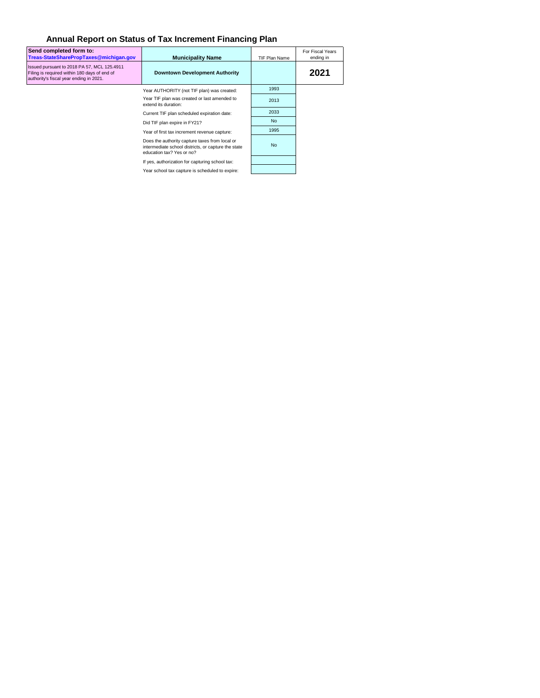## **Annual Report on Status of Tax Increment Financing Plan**

| Send completed form to:<br>Treas-StateSharePropTaxes@michigan.gov                                                                      | <b>Municipality Name</b>                                                                                                           | <b>TIF Plan Name</b> | For Fiscal Years<br>ending in |  |
|----------------------------------------------------------------------------------------------------------------------------------------|------------------------------------------------------------------------------------------------------------------------------------|----------------------|-------------------------------|--|
| Issued pursuant to 2018 PA 57, MCL 125.4911<br>Filing is required within 180 days of end of<br>authority's fiscal year ending in 2021. | <b>Downtown Development Authority</b>                                                                                              |                      | 2021                          |  |
|                                                                                                                                        | Year AUTHORITY (not TIF plan) was created:                                                                                         | 1993                 |                               |  |
|                                                                                                                                        | Year TIF plan was created or last amended to<br>extend its duration:                                                               | 2013                 |                               |  |
|                                                                                                                                        | Current TIF plan scheduled expiration date:                                                                                        | 2033                 |                               |  |
|                                                                                                                                        | Did TIF plan expire in FY21?                                                                                                       | <b>No</b>            |                               |  |
|                                                                                                                                        | Year of first tax increment revenue capture:                                                                                       | 1995                 |                               |  |
|                                                                                                                                        | Does the authority capture taxes from local or<br>intermediate school districts, or capture the state<br>education tax? Yes or no? | <b>No</b>            |                               |  |
|                                                                                                                                        | If yes, authorization for capturing school tax:                                                                                    |                      |                               |  |
|                                                                                                                                        | Year school tax capture is scheduled to expire:                                                                                    |                      |                               |  |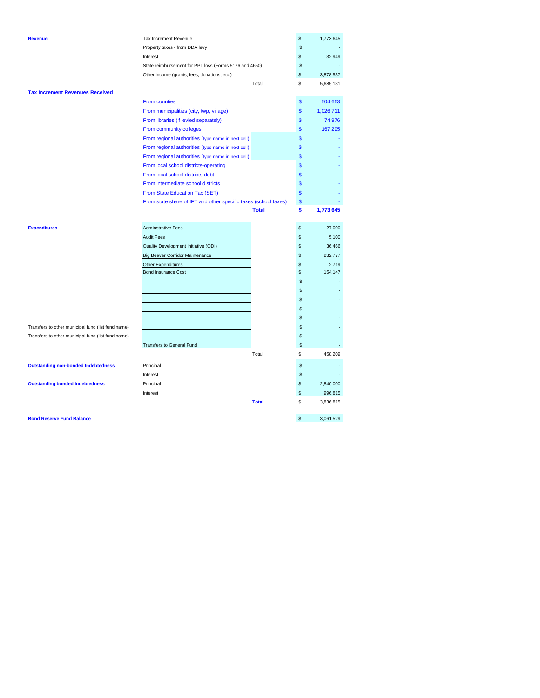| <b>Revenue:</b>                                    | Tax Increment Revenue                                           |              | \$            | 1,773,645 |
|----------------------------------------------------|-----------------------------------------------------------------|--------------|---------------|-----------|
|                                                    | Property taxes - from DDA levy                                  |              | \$            |           |
|                                                    | Interest                                                        |              | \$            | 32,949    |
|                                                    | State reimbursement for PPT loss (Forms 5176 and 4650)          |              | \$            |           |
|                                                    | Other income (grants, fees, donations, etc.)                    |              | \$            | 3,878,537 |
|                                                    |                                                                 | Total        | \$            | 5,685,131 |
| <b>Tax Increment Revenues Received</b>             |                                                                 |              |               |           |
|                                                    | From counties                                                   |              | \$            | 504,663   |
|                                                    | From municipalities (city, twp, village)                        |              | \$            | 1,026,711 |
|                                                    | From libraries (if levied separately)                           |              | \$            | 74,976    |
|                                                    | From community colleges                                         |              | \$            | 167,295   |
|                                                    | From regional authorities (type name in next cell)              |              | \$            |           |
|                                                    | From regional authorities (type name in next cell)              |              | \$            |           |
|                                                    | From regional authorities (type name in next cell)              |              | \$            |           |
|                                                    | From local school districts-operating                           |              | \$            |           |
|                                                    | From local school districts-debt                                |              | \$            |           |
|                                                    | From intermediate school districts                              |              | \$            |           |
|                                                    | From State Education Tax (SET)                                  |              | \$            |           |
|                                                    | From state share of IFT and other specific taxes (school taxes) |              | $\mathsf{\$}$ |           |
|                                                    |                                                                 | <b>Total</b> | \$            | 1,773,645 |
|                                                    |                                                                 |              |               |           |
| <b>Expenditures</b>                                | <b>Adminstrative Fees</b>                                       |              | \$            | 27,000    |
|                                                    | <b>Audit Fees</b>                                               |              | \$            | 5,100     |
|                                                    | <b>Quality Development Initiative (QDI)</b>                     |              | \$            | 36,466    |
|                                                    | <b>Big Beaver Corridor Maintenance</b>                          |              | \$            | 232,777   |
|                                                    | <b>Other Expenditures</b>                                       |              | \$            | 2,719     |
|                                                    | <b>Bond Insurance Cost</b>                                      |              | \$            | 154,147   |
|                                                    |                                                                 |              | \$            |           |
|                                                    |                                                                 |              | \$            |           |
|                                                    |                                                                 |              |               |           |
|                                                    |                                                                 |              | \$            |           |
|                                                    |                                                                 |              | \$            |           |
|                                                    |                                                                 |              | \$            |           |
| Transfers to other municipal fund (list fund name) |                                                                 |              | \$            |           |
| Transfers to other municipal fund (list fund name) |                                                                 |              | \$            |           |
|                                                    | <b>Transfers to General Fund</b>                                |              | \$            |           |
|                                                    |                                                                 | Total        | \$            | 458,209   |
| <b>Outstanding non-bonded Indebtedness</b>         | Principal                                                       |              | \$            |           |
|                                                    | Interest                                                        |              | \$            |           |
| <b>Outstanding bonded Indebtedness</b>             | Principal                                                       |              | \$            | 2,840,000 |
|                                                    | Interest                                                        |              | \$            | 996,815   |
|                                                    |                                                                 | <b>Total</b> | \$            | 3,836,815 |

**Bond Reserve Fund Balance 6 3,061,529**